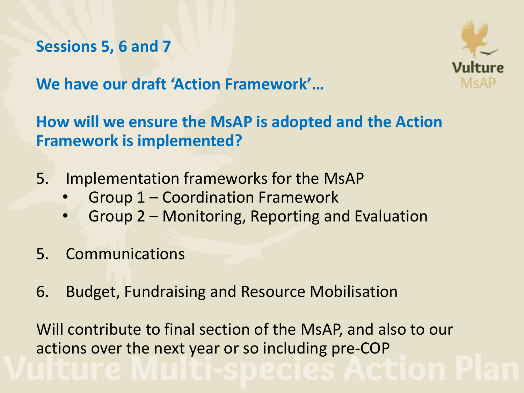# **Sessions 5, 6 and 7**



**We have our draft 'Action Framework'…**

**How will we ensure the MsAP is adopted and the Action Framework is implemented?**

- 5. Implementation frameworks for the MsAP
	- Group 1 Coordination Framework
	- Group 2 Monitoring, Reporting and Evaluation
- 5. Communications
- 6. Budget, Fundraising and Resource Mobilisation

Will contribute to final section of the MsAP, and also to our actions over the next year or so including pre-COP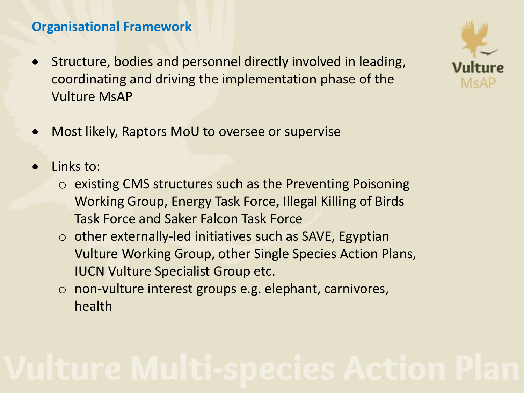## **Organisational Framework**

- Structure, bodies and personnel directly involved in leading, coordinating and driving the implementation phase of the Vulture MsAP
- Most likely, Raptors MoU to oversee or supervise
- Links to:
	- o existing CMS structures such as the Preventing Poisoning Working Group, Energy Task Force, Illegal Killing of Birds Task Force and Saker Falcon Task Force
	- $\circ$  other externally-led initiatives such as SAVE, Egyptian Vulture Working Group, other Single Species Action Plans, IUCN Vulture Specialist Group etc.
	- o non-vulture interest groups e.g. elephant, carnivores, health

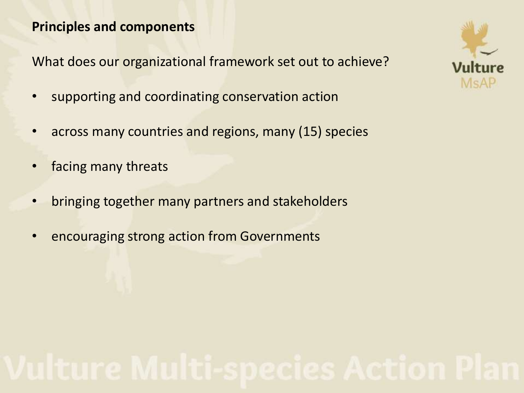### **Principles and components**

What does our organizational framework set out to achieve?

- supporting and coordinating conservation action
- across many countries and regions, many (15) species
- facing many threats
- bringing together many partners and stakeholders
- encouraging strong action from Governments

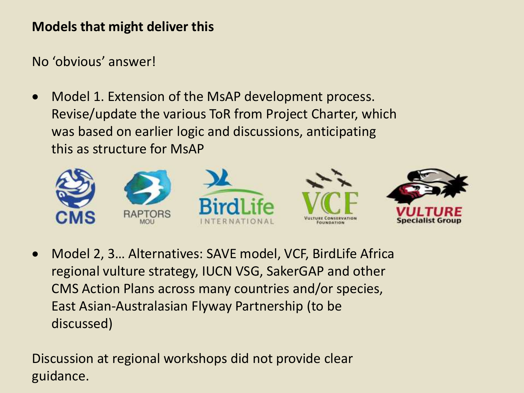### **Models that might deliver this**

No 'obvious' answer!

 Model 1. Extension of the MsAP development process. Revise/update the various ToR from Project Charter, which was based on earlier logic and discussions, anticipating this as structure for MsAP



 Model 2, 3… Alternatives: SAVE model, VCF, BirdLife Africa regional vulture strategy, IUCN VSG, SakerGAP and other CMS Action Plans across many countries and/or species, East Asian-Australasian Flyway Partnership (to be discussed)

Discussion at regional workshops did not provide clear guidance.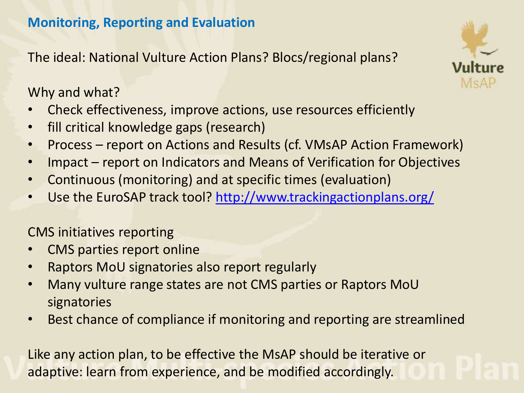## **Monitoring, Reporting and Evaluation**

The ideal: National Vulture Action Plans? Blocs/regional plans?

Why and what?

- Check effectiveness, improve actions, use resources efficiently
- fill critical knowledge gaps (research)
- Process report on Actions and Results (cf. VMsAP Action Framework)
- Impact report on Indicators and Means of Verification for Objectives
- Continuous (monitoring) and at specific times (evaluation)
- Use the EuroSAP track tool?<http://www.trackingactionplans.org/>

CMS initiatives reporting

- CMS parties report online
- Raptors MoU signatories also report regularly
- Many vulture range states are not CMS parties or Raptors MoU signatories
- Best chance of compliance if monitoring and reporting are streamlined

Like any action plan, to be effective the MsAP should be iterative or adaptive: learn from experience, and be modified accordingly.

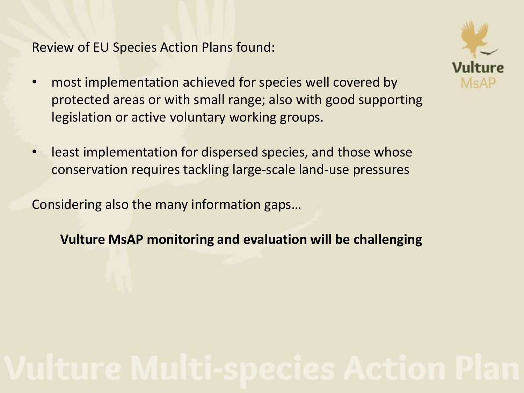Review of EU Species Action Plans found:

- most implementation achieved for species well covered by protected areas or with small range; also with good supporting legislation or active voluntary working groups.
- least implementation for dispersed species, and those whose conservation requires tackling large-scale land-use pressures

Considering also the many information gaps…

**Vulture MsAP monitoring and evaluation will be challenging**

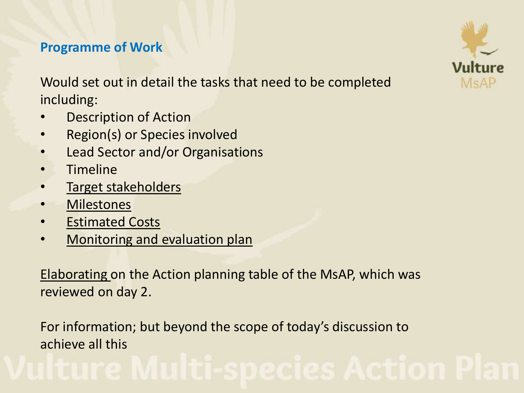## **Programme of Work**

Would set out in detail the tasks that need to be completed including:

- **Description of Action**
- Region(s) or Species involved
- Lead Sector and/or Organisations
- Timeline
- Target stakeholders
- Milestones
- Estimated Costs
- Monitoring and evaluation plan

Elaborating on the Action planning table of the MsAP, which was reviewed on day 2.

For information; but beyond the scope of today's discussion to achieve all this

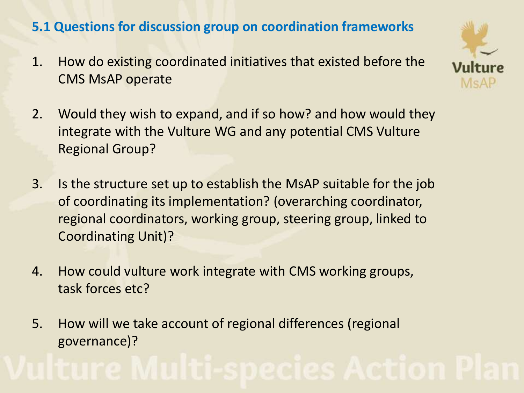## **5.1 Questions for discussion group on coordination frameworks**

1. How do existing coordinated initiatives that existed before the CMS MsAP operate



- 2. Would they wish to expand, and if so how? and how would they integrate with the Vulture WG and any potential CMS Vulture Regional Group?
- 3. Is the structure set up to establish the MsAP suitable for the job of coordinating its implementation? (overarching coordinator, regional coordinators, working group, steering group, linked to Coordinating Unit)?
- 4. How could vulture work integrate with CMS working groups, task forces etc?
- 5. How will we take account of regional differences (regional governance)?